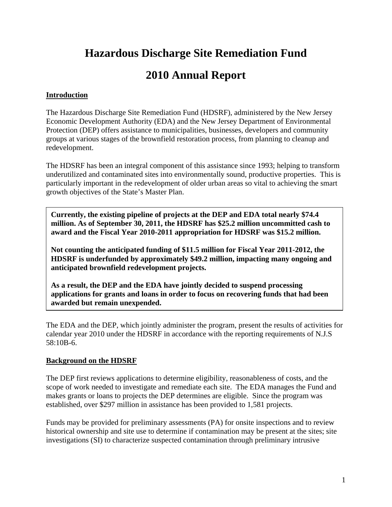## **Hazardous Discharge Site Remediation Fund**

## **2010 Annual Report**

#### **Introduction**

The Hazardous Discharge Site Remediation Fund (HDSRF), administered by the New Jersey Economic Development Authority (EDA) and the New Jersey Department of Environmental Protection (DEP) offers assistance to municipalities, businesses, developers and community groups at various stages of the brownfield restoration process, from planning to cleanup and redevelopment.

The HDSRF has been an integral component of this assistance since 1993; helping to transform underutilized and contaminated sites into environmentally sound, productive properties. This is particularly important in the redevelopment of older urban areas so vital to achieving the smart growth objectives of the State's Master Plan.

**Currently, the existing pipeline of projects at the DEP and EDA total nearly \$74.4 million. As of September 30, 2011, the HDSRF has \$25.2 million uncommitted cash to award and the Fiscal Year 2010-2011 appropriation for HDSRF was \$15.2 million.** 

**Not counting the anticipated funding of \$11.5 million for Fiscal Year 2011-2012, the HDSRF is underfunded by approximately \$49.2 million, impacting many ongoing and anticipated brownfield redevelopment projects.** 

**As a result, the DEP and the EDA have jointly decided to suspend processing applications for grants and loans in order to focus on recovering funds that had been awarded but remain unexpended.** 

The EDA and the DEP, which jointly administer the program, present the results of activities for calendar year 2010 under the HDSRF in accordance with the reporting requirements of N.J.S 58:10B-6.

#### **Background on the HDSRF**

The DEP first reviews applications to determine eligibility, reasonableness of costs, and the scope of work needed to investigate and remediate each site. The EDA manages the Fund and makes grants or loans to projects the DEP determines are eligible. Since the program was established, over \$297 million in assistance has been provided to 1,581 projects.

Funds may be provided for preliminary assessments (PA) for onsite inspections and to review historical ownership and site use to determine if contamination may be present at the sites; site investigations (SI) to characterize suspected contamination through preliminary intrusive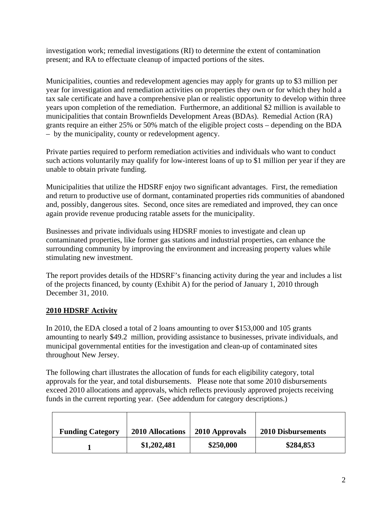investigation work; remedial investigations (RI) to determine the extent of contamination present; and RA to effectuate cleanup of impacted portions of the sites.

Municipalities, counties and redevelopment agencies may apply for grants up to \$3 million per year for investigation and remediation activities on properties they own or for which they hold a tax sale certificate and have a comprehensive plan or realistic opportunity to develop within three years upon completion of the remediation. Furthermore, an additional \$2 million is available to municipalities that contain Brownfields Development Areas (BDAs). Remedial Action (RA) grants require an either 25% or 50% match of the eligible project costs – depending on the BDA – by the municipality, county or redevelopment agency.

Private parties required to perform remediation activities and individuals who want to conduct such actions voluntarily may qualify for low-interest loans of up to \$1 million per year if they are unable to obtain private funding.

Municipalities that utilize the HDSRF enjoy two significant advantages. First, the remediation and return to productive use of dormant, contaminated properties rids communities of abandoned and, possibly, dangerous sites. Second, once sites are remediated and improved, they can once again provide revenue producing ratable assets for the municipality.

Businesses and private individuals using HDSRF monies to investigate and clean up contaminated properties, like former gas stations and industrial properties, can enhance the surrounding community by improving the environment and increasing property values while stimulating new investment.

The report provides details of the HDSRF's financing activity during the year and includes a list of the projects financed, by county (Exhibit A) for the period of January 1, 2010 through December 31, 2010.

#### **2010 HDSRF Activity**

In 2010, the EDA closed a total of 2 loans amounting to over \$153,000 and 105 grants amounting to nearly \$49.2 million, providing assistance to businesses, private individuals, and municipal governmental entities for the investigation and clean-up of contaminated sites throughout New Jersey.

The following chart illustrates the allocation of funds for each eligibility category, total approvals for the year, and total disbursements. Please note that some 2010 disbursements exceed 2010 allocations and approvals, which reflects previously approved projects receiving funds in the current reporting year. (See addendum for category descriptions.)

| <b>Funding Category</b> | <b>2010 Allocations</b> | 2010 Approvals | <b>2010 Disbursements</b> |
|-------------------------|-------------------------|----------------|---------------------------|
|                         | \$1,202,481             | \$250,000      | \$284,853                 |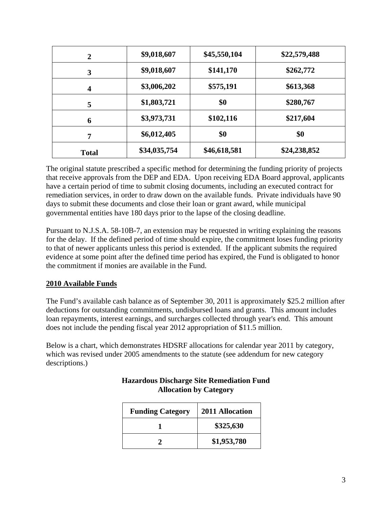| $\overline{2}$          | \$9,018,607  | \$45,550,104 | \$22,579,488 |
|-------------------------|--------------|--------------|--------------|
| 3                       | \$9,018,607  | \$141,170    | \$262,772    |
| $\overline{\mathbf{4}}$ | \$3,006,202  | \$575,191    | \$613,368    |
| 5                       | \$1,803,721  | \$0          | \$280,767    |
| 6                       | \$3,973,731  | \$102,116    | \$217,604    |
| 7                       | \$6,012,405  | \$0          | \$0          |
| <b>Total</b>            | \$34,035,754 | \$46,618,581 | \$24,238,852 |

The original statute prescribed a specific method for determining the funding priority of projects that receive approvals from the DEP and EDA. Upon receiving EDA Board approval, applicants have a certain period of time to submit closing documents, including an executed contract for remediation services, in order to draw down on the available funds. Private individuals have 90 days to submit these documents and close their loan or grant award, while municipal governmental entities have 180 days prior to the lapse of the closing deadline.

Pursuant to N.J.S.A. 58-10B-7, an extension may be requested in writing explaining the reasons for the delay. If the defined period of time should expire, the commitment loses funding priority to that of newer applicants unless this period is extended. If the applicant submits the required evidence at some point after the defined time period has expired, the Fund is obligated to honor the commitment if monies are available in the Fund.

#### **2010 Available Funds**

The Fund's available cash balance as of September 30, 2011 is approximately \$25.2 million after deductions for outstanding commitments, undisbursed loans and grants. This amount includes loan repayments, interest earnings, and surcharges collected through year's end. This amount does not include the pending fiscal year 2012 appropriation of \$11.5 million.

Below is a chart, which demonstrates HDSRF allocations for calendar year 2011 by category, which was revised under 2005 amendments to the statute (see addendum for new category descriptions.)

| <b>Funding Category</b> | 2011 Allocation |
|-------------------------|-----------------|
|                         | \$325,630       |
|                         | \$1,953,780     |

#### **Hazardous Discharge Site Remediation Fund Allocation by Category**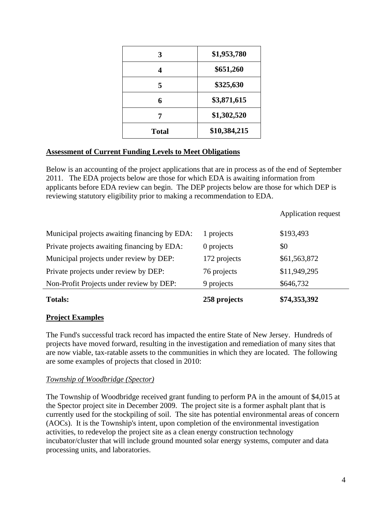| 3            | \$1,953,780  |
|--------------|--------------|
| 4            | \$651,260    |
| 5            | \$325,630    |
| 6            | \$3,871,615  |
| 7            | \$1,302,520  |
| <b>Total</b> | \$10,384,215 |

#### **Assessment of Current Funding Levels to Meet Obligations**

Below is an accounting of the project applications that are in process as of the end of September 2011. The EDA projects below are those for which EDA is awaiting information from applicants before EDA review can begin. The DEP projects below are those for which DEP is reviewing statutory eligibility prior to making a recommendation to EDA.

| <b>Totals:</b>                                | 258 projects | \$74,353,392               |
|-----------------------------------------------|--------------|----------------------------|
| Non-Profit Projects under review by DEP:      | 9 projects   | \$646,732                  |
| Private projects under review by DEP:         | 76 projects  | \$11,949,295               |
| Municipal projects under review by DEP:       | 172 projects | \$61,563,872               |
| Private projects awaiting financing by EDA:   | 0 projects   | \$0                        |
| Municipal projects awaiting financing by EDA: | 1 projects   | \$193,493                  |
|                                               |              | <b>Application request</b> |

#### **Project Examples**

The Fund's successful track record has impacted the entire State of New Jersey. Hundreds of projects have moved forward, resulting in the investigation and remediation of many sites that are now viable, tax-ratable assets to the communities in which they are located. The following are some examples of projects that closed in 2010:

#### *Township of Woodbridge (Spector)*

The Township of Woodbridge received grant funding to perform PA in the amount of \$4,015 at the Spector project site in December 2009. The project site is a former asphalt plant that is currently used for the stockpiling of soil. The site has potential environmental areas of concern (AOCs). It is the Township's intent, upon completion of the environmental investigation activities, to redevelop the project site as a clean energy construction technology incubator/cluster that will include ground mounted solar energy systems, computer and data processing units, and laboratories.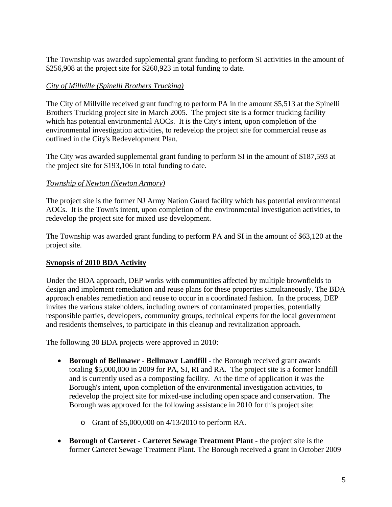The Township was awarded supplemental grant funding to perform SI activities in the amount of \$256,908 at the project site for \$260,923 in total funding to date.

#### *City of Millville (Spinelli Brothers Trucking)*

The City of Millville received grant funding to perform PA in the amount \$5,513 at the Spinelli Brothers Trucking project site in March 2005. The project site is a former trucking facility which has potential environmental AOCs. It is the City's intent, upon completion of the environmental investigation activities, to redevelop the project site for commercial reuse as outlined in the City's Redevelopment Plan.

The City was awarded supplemental grant funding to perform SI in the amount of \$187,593 at the project site for \$193,106 in total funding to date.

#### *Township of Newton (Newton Armory)*

The project site is the former NJ Army Nation Guard facility which has potential environmental AOCs. It is the Town's intent, upon completion of the environmental investigation activities, to redevelop the project site for mixed use development.

The Township was awarded grant funding to perform PA and SI in the amount of \$63,120 at the project site.

#### **Synopsis of 2010 BDA Activity**

Under the BDA approach, DEP works with communities affected by multiple brownfields to design and implement remediation and reuse plans for these properties simultaneously. The BDA approach enables remediation and reuse to occur in a coordinated fashion. In the process, DEP invites the various stakeholders, including owners of contaminated properties, potentially responsible parties, developers, community groups, technical experts for the local government and residents themselves, to participate in this cleanup and revitalization approach.

The following 30 BDA projects were approved in 2010:

- **Borough of Bellmawr Bellmawr Landfill** the Borough received grant awards totaling \$5,000,000 in 2009 for PA, SI, RI and RA. The project site is a former landfill and is currently used as a composting facility. At the time of application it was the Borough's intent, upon completion of the environmental investigation activities, to redevelop the project site for mixed-use including open space and conservation. The Borough was approved for the following assistance in 2010 for this project site:
	- o Grant of \$5,000,000 on 4/13/2010 to perform RA.
- **Borough of Carteret Carteret Sewage Treatment Plant -** the project site is the former Carteret Sewage Treatment Plant. The Borough received a grant in October 2009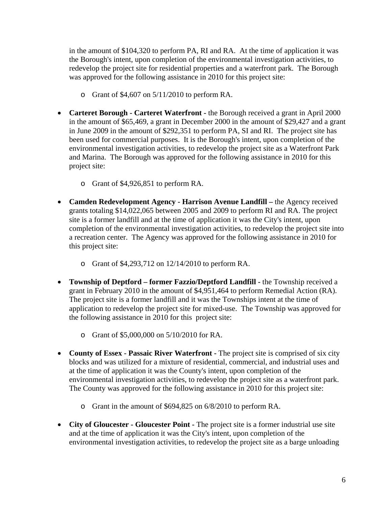in the amount of \$104,320 to perform PA, RI and RA. At the time of application it was the Borough's intent, upon completion of the environmental investigation activities, to redevelop the project site for residential properties and a waterfront park. The Borough was approved for the following assistance in 2010 for this project site:

- o Grant of \$4,607 on 5/11/2010 to perform RA.
- **Carteret Borough Carteret Waterfront -** the Borough received a grant in April 2000 in the amount of \$65,469, a grant in December 2000 in the amount of \$29,427 and a grant in June 2009 in the amount of \$292,351 to perform PA, SI and RI. The project site has been used for commercial purposes. It is the Borough's intent, upon completion of the environmental investigation activities, to redevelop the project site as a Waterfront Park and Marina. The Borough was approved for the following assistance in 2010 for this project site:
	- o Grant of \$4,926,851 to perform RA.
- **Camden Redevelopment Agency Harrison Avenue Landfill** the Agency received grants totaling \$14,022,065 between 2005 and 2009 to perform RI and RA. The project site is a former landfill and at the time of application it was the City's intent, upon completion of the environmental investigation activities, to redevelop the project site into a recreation center. The Agency was approved for the following assistance in 2010 for this project site:
	- o Grant of \$4,293,712 on 12/14/2010 to perform RA.
- **Township of Deptford former Fazzio/Deptford Landfill -** the Township received a grant in February 2010 in the amount of \$4,951,464 to perform Remedial Action (RA). The project site is a former landfill and it was the Townships intent at the time of application to redevelop the project site for mixed-use. The Township was approved for the following assistance in 2010 for this project site:
	- o Grant of \$5,000,000 on 5/10/2010 for RA.
- **County of Essex Passaic River Waterfront -** The project site is comprised of six city blocks and was utilized for a mixture of residential, commercial, and industrial uses and at the time of application it was the County's intent, upon completion of the environmental investigation activities, to redevelop the project site as a waterfront park. The County was approved for the following assistance in 2010 for this project site:
	- o Grant in the amount of \$694,825 on 6/8/2010 to perform RA.
- **City of Gloucester Gloucester Point** The project site is a former industrial use site and at the time of application it was the City's intent, upon completion of the environmental investigation activities, to redevelop the project site as a barge unloading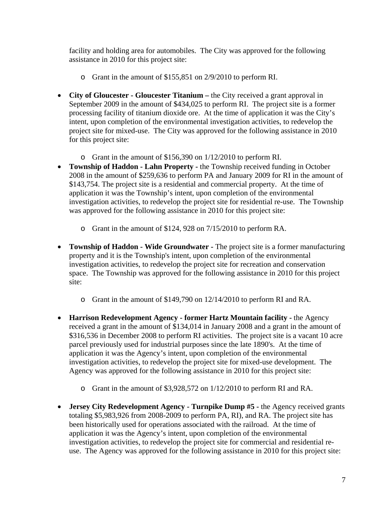facility and holding area for automobiles. The City was approved for the following assistance in 2010 for this project site:

- o Grant in the amount of \$155,851 on 2/9/2010 to perform RI.
- **City of Gloucester Gloucester Titanium** the City received a grant approval in September 2009 in the amount of \$434,025 to perform RI. The project site is a former processing facility of titanium dioxide ore. At the time of application it was the City's intent, upon completion of the environmental investigation activities, to redevelop the project site for mixed-use. The City was approved for the following assistance in 2010 for this project site:
	- o Grant in the amount of \$156,390 on 1/12/2010 to perform RI.
- **Township of Haddon Lahn Property** the Township received funding in October 2008 in the amount of \$259,636 to perform PA and January 2009 for RI in the amount of \$143,754. The project site is a residential and commercial property. At the time of application it was the Township's intent, upon completion of the environmental investigation activities, to redevelop the project site for residential re-use. The Township was approved for the following assistance in 2010 for this project site:
	- o Grant in the amount of \$124, 928 on 7/15/2010 to perform RA.
- **Township of Haddon Wide Groundwater -** The project site is a former manufacturing property and it is the Township's intent, upon completion of the environmental investigation activities, to redevelop the project site for recreation and conservation space. The Township was approved for the following assistance in 2010 for this project site:
	- o Grant in the amount of \$149,790 on 12/14/2010 to perform RI and RA.
- **Harrison Redevelopment Agency former Hartz Mountain facility the Agency** received a grant in the amount of \$134,014 in January 2008 and a grant in the amount of \$316,536 in December 2008 to perform RI activities. The project site is a vacant 10 acre parcel previously used for industrial purposes since the late 1890's. At the time of application it was the Agency's intent, upon completion of the environmental investigation activities, to redevelop the project site for mixed-use development. The Agency was approved for the following assistance in 2010 for this project site:
	- o Grant in the amount of \$3,928,572 on 1/12/2010 to perform RI and RA.
- **Jersey City Redevelopment Agency Turnpike Dump #5 -** the Agency received grants totaling \$5,983,926 from 2008-2009 to perform PA, RI), and RA. The project site has been historically used for operations associated with the railroad. At the time of application it was the Agency's intent, upon completion of the environmental investigation activities, to redevelop the project site for commercial and residential reuse. The Agency was approved for the following assistance in 2010 for this project site: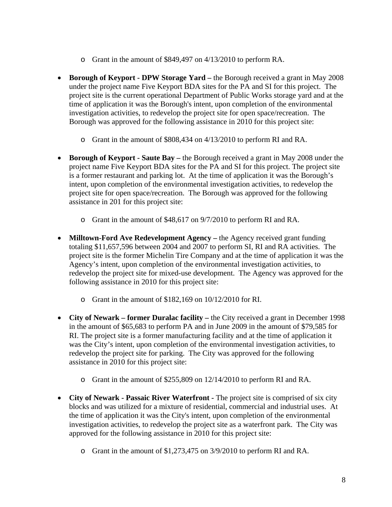- o Grant in the amount of \$849,497 on 4/13/2010 to perform RA.
- **Borough of Keyport DPW Storage Yard** the Borough received a grant in May 2008 under the project name Five Keyport BDA sites for the PA and SI for this project. The project site is the current operational Department of Public Works storage yard and at the time of application it was the Borough's intent, upon completion of the environmental investigation activities, to redevelop the project site for open space/recreation. The Borough was approved for the following assistance in 2010 for this project site:
	- o Grant in the amount of \$808,434 on 4/13/2010 to perform RI and RA.
- **Borough of Keyport Saute Bay** the Borough received a grant in May 2008 under the project name Five Keyport BDA sites for the PA and SI for this project. The project site is a former restaurant and parking lot. At the time of application it was the Borough's intent, upon completion of the environmental investigation activities, to redevelop the project site for open space/recreation. The Borough was approved for the following assistance in 201 for this project site:
	- o Grant in the amount of \$48,617 on 9/7/2010 to perform RI and RA.
- **Milltown-Ford Ave Redevelopment Agency** the Agency received grant funding totaling \$11,657,596 between 2004 and 2007 to perform SI, RI and RA activities. The project site is the former Michelin Tire Company and at the time of application it was the Agency's intent, upon completion of the environmental investigation activities, to redevelop the project site for mixed-use development. The Agency was approved for the following assistance in 2010 for this project site:
	- o Grant in the amount of \$182,169 on 10/12/2010 for RI.
- **City of Newark former Duralac facility** the City received a grant in December 1998 in the amount of \$65,683 to perform PA and in June 2009 in the amount of \$79,585 for RI. The project site is a former manufacturing facility and at the time of application it was the City's intent, upon completion of the environmental investigation activities, to redevelop the project site for parking. The City was approved for the following assistance in 2010 for this project site:
	- o Grant in the amount of \$255,809 on 12/14/2010 to perform RI and RA.
- **City of Newark Passaic River Waterfront -** The project site is comprised of six city blocks and was utilized for a mixture of residential, commercial and industrial uses. At the time of application it was the City's intent, upon completion of the environmental investigation activities, to redevelop the project site as a waterfront park. The City was approved for the following assistance in 2010 for this project site:
	- o Grant in the amount of \$1,273,475 on 3/9/2010 to perform RI and RA.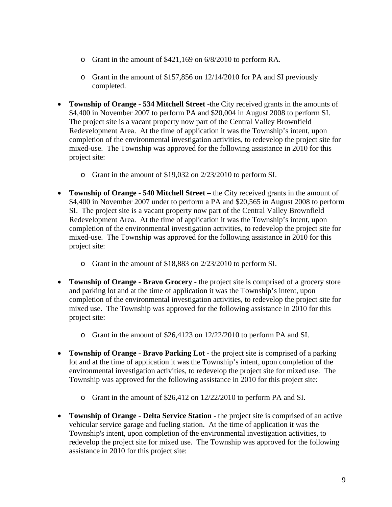- o Grant in the amount of \$421,169 on 6/8/2010 to perform RA.
- o Grant in the amount of \$157,856 on 12/14/2010 for PA and SI previously completed.
- **Township of Orange 534 Mitchell Street -**the City received grants in the amounts of \$4,400 in November 2007 to perform PA and \$20,004 in August 2008 to perform SI. The project site is a vacant property now part of the Central Valley Brownfield Redevelopment Area. At the time of application it was the Township's intent, upon completion of the environmental investigation activities, to redevelop the project site for mixed-use. The Township was approved for the following assistance in 2010 for this project site:
	- o Grant in the amount of \$19,032 on 2/23/2010 to perform SI.
- **Township of Orange 540 Mitchell Street** the City received grants in the amount of \$4,400 in November 2007 under to perform a PA and \$20,565 in August 2008 to perform SI. The project site is a vacant property now part of the Central Valley Brownfield Redevelopment Area. At the time of application it was the Township's intent, upon completion of the environmental investigation activities, to redevelop the project site for mixed-use. The Township was approved for the following assistance in 2010 for this project site:
	- o Grant in the amount of \$18,883 on 2/23/2010 to perform SI.
- **Township of Orange Bravo Grocery -** the project site is comprised of a grocery store and parking lot and at the time of application it was the Township's intent, upon completion of the environmental investigation activities, to redevelop the project site for mixed use. The Township was approved for the following assistance in 2010 for this project site:
	- o Grant in the amount of \$26,4123 on 12/22/2010 to perform PA and SI.
- **Township of Orange Bravo Parking Lot -** the project site is comprised of a parking lot and at the time of application it was the Township's intent, upon completion of the environmental investigation activities, to redevelop the project site for mixed use. The Township was approved for the following assistance in 2010 for this project site:
	- o Grant in the amount of \$26,412 on 12/22/2010 to perform PA and SI.
- **Township of Orange Delta Service Station -** the project site is comprised of an active vehicular service garage and fueling station. At the time of application it was the Township's intent, upon completion of the environmental investigation activities, to redevelop the project site for mixed use. The Township was approved for the following assistance in 2010 for this project site: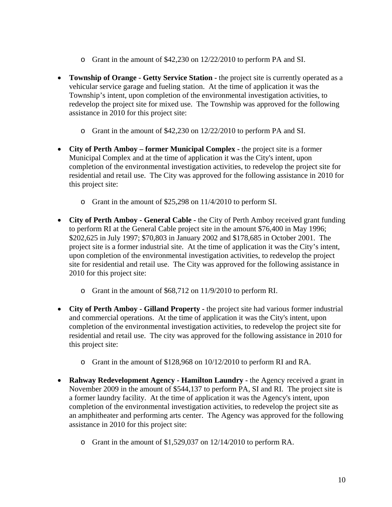- o Grant in the amount of \$42,230 on 12/22/2010 to perform PA and SI.
- **Township of Orange Getty Service Station -** the project site is currently operated as a vehicular service garage and fueling station. At the time of application it was the Township's intent, upon completion of the environmental investigation activities, to redevelop the project site for mixed use. The Township was approved for the following assistance in 2010 for this project site:
	- o Grant in the amount of \$42,230 on 12/22/2010 to perform PA and SI.
- **City of Perth Amboy former Municipal Complex** the project site is a former Municipal Complex and at the time of application it was the City's intent, upon completion of the environmental investigation activities, to redevelop the project site for residential and retail use. The City was approved for the following assistance in 2010 for this project site:
	- o Grant in the amount of \$25,298 on 11/4/2010 to perform SI.
- **City of Perth Amboy General Cable** the City of Perth Amboy received grant funding to perform RI at the General Cable project site in the amount \$76,400 in May 1996; \$202,625 in July 1997; \$70,803 in January 2002 and \$178,685 in October 2001. The project site is a former industrial site. At the time of application it was the City's intent, upon completion of the environmental investigation activities, to redevelop the project site for residential and retail use. The City was approved for the following assistance in 2010 for this project site:
	- o Grant in the amount of \$68,712 on 11/9/2010 to perform RI.
- **City of Perth Amboy Gilland Property -** the project site had various former industrial and commercial operations. At the time of application it was the City's intent, upon completion of the environmental investigation activities, to redevelop the project site for residential and retail use. The city was approved for the following assistance in 2010 for this project site:
	- o Grant in the amount of \$128,968 on 10/12/2010 to perform RI and RA.
- **Rahway Redevelopment Agency Hamilton Laundry -** the Agency received a grant in November 2009 in the amount of \$544,137 to perform PA, SI and RI. The project site is a former laundry facility. At the time of application it was the Agency's intent, upon completion of the environmental investigation activities, to redevelop the project site as an amphitheater and performing arts center. The Agency was approved for the following assistance in 2010 for this project site:
	- o Grant in the amount of \$1,529,037 on 12/14/2010 to perform RA.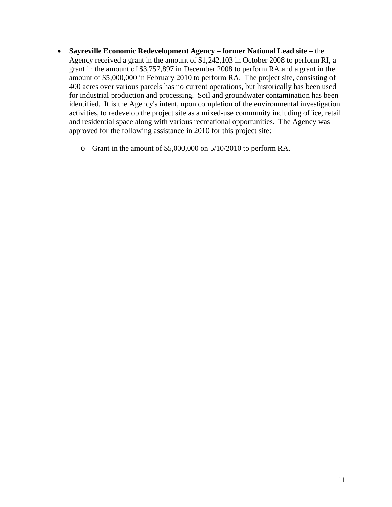- **Sayreville Economic Redevelopment Agency former National Lead site** the Agency received a grant in the amount of \$1,242,103 in October 2008 to perform RI, a grant in the amount of \$3,757,897 in December 2008 to perform RA and a grant in the amount of \$5,000,000 in February 2010 to perform RA. The project site, consisting of 400 acres over various parcels has no current operations, but historically has been used for industrial production and processing. Soil and groundwater contamination has been identified. It is the Agency's intent, upon completion of the environmental investigation activities, to redevelop the project site as a mixed-use community including office, retail and residential space along with various recreational opportunities. The Agency was approved for the following assistance in 2010 for this project site:
	- o Grant in the amount of \$5,000,000 on 5/10/2010 to perform RA.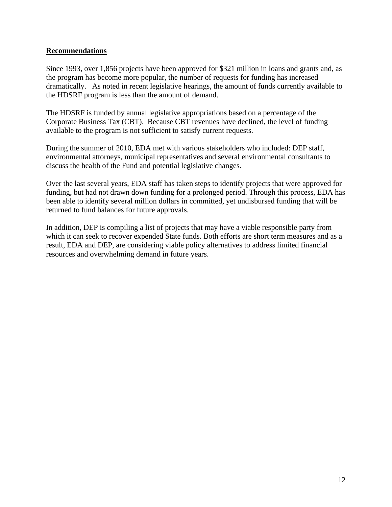#### **Recommendations**

Since 1993, over 1,856 projects have been approved for \$321 million in loans and grants and, as the program has become more popular, the number of requests for funding has increased dramatically. As noted in recent legislative hearings, the amount of funds currently available to the HDSRF program is less than the amount of demand.

The HDSRF is funded by annual legislative appropriations based on a percentage of the Corporate Business Tax (CBT). Because CBT revenues have declined, the level of funding available to the program is not sufficient to satisfy current requests.

During the summer of 2010, EDA met with various stakeholders who included: DEP staff, environmental attorneys, municipal representatives and several environmental consultants to discuss the health of the Fund and potential legislative changes.

Over the last several years, EDA staff has taken steps to identify projects that were approved for funding, but had not drawn down funding for a prolonged period. Through this process, EDA has been able to identify several million dollars in committed, yet undisbursed funding that will be returned to fund balances for future approvals.

In addition, DEP is compiling a list of projects that may have a viable responsible party from which it can seek to recover expended State funds. Both efforts are short term measures and as a result, EDA and DEP, are considering viable policy alternatives to address limited financial resources and overwhelming demand in future years.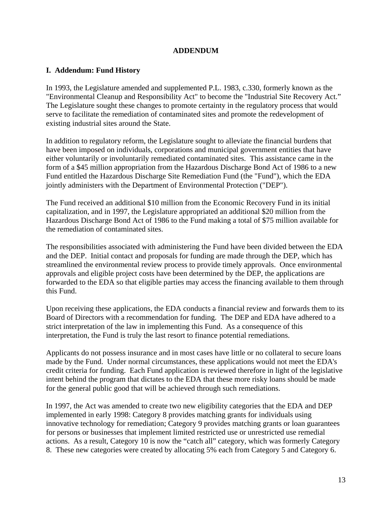#### **ADDENDUM**

#### **I. Addendum: Fund History**

In 1993, the Legislature amended and supplemented P.L. 1983, c.330, formerly known as the "Environmental Cleanup and Responsibility Act" to become the "Industrial Site Recovery Act." The Legislature sought these changes to promote certainty in the regulatory process that would serve to facilitate the remediation of contaminated sites and promote the redevelopment of existing industrial sites around the State.

In addition to regulatory reform, the Legislature sought to alleviate the financial burdens that have been imposed on individuals, corporations and municipal government entities that have either voluntarily or involuntarily remediated contaminated sites. This assistance came in the form of a \$45 million appropriation from the Hazardous Discharge Bond Act of 1986 to a new Fund entitled the Hazardous Discharge Site Remediation Fund (the "Fund"), which the EDA jointly administers with the Department of Environmental Protection ("DEP").

The Fund received an additional \$10 million from the Economic Recovery Fund in its initial capitalization, and in 1997, the Legislature appropriated an additional \$20 million from the Hazardous Discharge Bond Act of 1986 to the Fund making a total of \$75 million available for the remediation of contaminated sites.

The responsibilities associated with administering the Fund have been divided between the EDA and the DEP. Initial contact and proposals for funding are made through the DEP, which has streamlined the environmental review process to provide timely approvals. Once environmental approvals and eligible project costs have been determined by the DEP, the applications are forwarded to the EDA so that eligible parties may access the financing available to them through this Fund.

Upon receiving these applications, the EDA conducts a financial review and forwards them to its Board of Directors with a recommendation for funding. The DEP and EDA have adhered to a strict interpretation of the law in implementing this Fund. As a consequence of this interpretation, the Fund is truly the last resort to finance potential remediations.

Applicants do not possess insurance and in most cases have little or no collateral to secure loans made by the Fund. Under normal circumstances, these applications would not meet the EDA's credit criteria for funding. Each Fund application is reviewed therefore in light of the legislative intent behind the program that dictates to the EDA that these more risky loans should be made for the general public good that will be achieved through such remediations.

In 1997, the Act was amended to create two new eligibility categories that the EDA and DEP implemented in early 1998: Category 8 provides matching grants for individuals using innovative technology for remediation; Category 9 provides matching grants or loan guarantees for persons or businesses that implement limited restricted use or unrestricted use remedial actions. As a result, Category 10 is now the "catch all" category, which was formerly Category 8. These new categories were created by allocating 5% each from Category 5 and Category 6.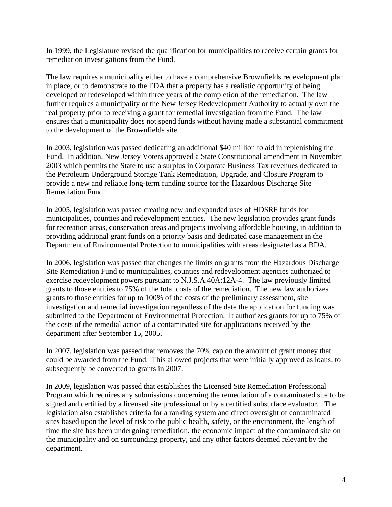In 1999, the Legislature revised the qualification for municipalities to receive certain grants for remediation investigations from the Fund.

The law requires a municipality either to have a comprehensive Brownfields redevelopment plan in place, or to demonstrate to the EDA that a property has a realistic opportunity of being developed or redeveloped within three years of the completion of the remediation. The law further requires a municipality or the New Jersey Redevelopment Authority to actually own the real property prior to receiving a grant for remedial investigation from the Fund. The law ensures that a municipality does not spend funds without having made a substantial commitment to the development of the Brownfields site.

In 2003, legislation was passed dedicating an additional \$40 million to aid in replenishing the Fund. In addition, New Jersey Voters approved a State Constitutional amendment in November 2003 which permits the State to use a surplus in Corporate Business Tax revenues dedicated to the Petroleum Underground Storage Tank Remediation, Upgrade, and Closure Program to provide a new and reliable long-term funding source for the Hazardous Discharge Site Remediation Fund.

In 2005, legislation was passed creating new and expanded uses of HDSRF funds for municipalities, counties and redevelopment entities. The new legislation provides grant funds for recreation areas, conservation areas and projects involving affordable housing, in addition to providing additional grant funds on a priority basis and dedicated case management in the Department of Environmental Protection to municipalities with areas designated as a BDA.

In 2006, legislation was passed that changes the limits on grants from the Hazardous Discharge Site Remediation Fund to municipalities, counties and redevelopment agencies authorized to exercise redevelopment powers pursuant to N.J.S.A.40A:12A-4. The law previously limited grants to those entities to 75% of the total costs of the remediation. The new law authorizes grants to those entities for up to 100% of the costs of the preliminary assessment, site investigation and remedial investigation regardless of the date the application for funding was submitted to the Department of Environmental Protection. It authorizes grants for up to 75% of the costs of the remedial action of a contaminated site for applications received by the department after September 15, 2005.

In 2007, legislation was passed that removes the 70% cap on the amount of grant money that could be awarded from the Fund. This allowed projects that were initially approved as loans, to subsequently be converted to grants in 2007.

In 2009, legislation was passed that establishes the Licensed Site Remediation Professional Program which requires any submissions concerning the remediation of a contaminated site to be signed and certified by a licensed site professional or by a certified subsurface evaluator. The legislation also establishes criteria for a ranking system and direct oversight of contaminated sites based upon the level of risk to the public health, safety, or the environment, the length of time the site has been undergoing remediation, the economic impact of the contaminated site on the municipality and on surrounding property, and any other factors deemed relevant by the department.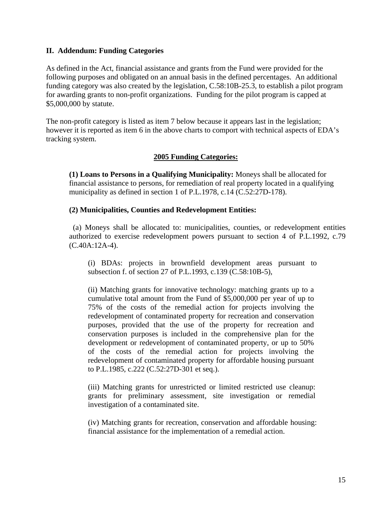#### **II. Addendum: Funding Categories**

As defined in the Act, financial assistance and grants from the Fund were provided for the following purposes and obligated on an annual basis in the defined percentages. An additional funding category was also created by the legislation, C.58:10B-25.3, to establish a pilot program for awarding grants to non-profit organizations. Funding for the pilot program is capped at \$5,000,000 by statute.

The non-profit category is listed as item 7 below because it appears last in the legislation; however it is reported as item 6 in the above charts to comport with technical aspects of EDA's tracking system.

#### **2005 Funding Categories:**

**(1) Loans to Persons in a Qualifying Municipality:** Moneys shall be allocated for financial assistance to persons, for remediation of real property located in a qualifying municipality as defined in section 1 of P.L.1978, c.14 (C.52:27D-178).

#### **(2) Municipalities, Counties and Redevelopment Entities:**

 (a) Moneys shall be allocated to: municipalities, counties, or redevelopment entities authorized to exercise redevelopment powers pursuant to section 4 of P.L.1992, c.79 (C.40A:12A-4).

(i) BDAs: projects in brownfield development areas pursuant to subsection f. of section 27 of P.L.1993, c.139 (C.58:10B-5),

 (ii) Matching grants for innovative technology: matching grants up to a cumulative total amount from the Fund of \$5,000,000 per year of up to 75% of the costs of the remedial action for projects involving the redevelopment of contaminated property for recreation and conservation purposes, provided that the use of the property for recreation and conservation purposes is included in the comprehensive plan for the development or redevelopment of contaminated property, or up to 50% of the costs of the remedial action for projects involving the redevelopment of contaminated property for affordable housing pursuant to P.L.1985, c.222 (C.52:27D-301 et seq.).

(iii) Matching grants for unrestricted or limited restricted use cleanup: grants for preliminary assessment, site investigation or remedial investigation of a contaminated site.

(iv) Matching grants for recreation, conservation and affordable housing: financial assistance for the implementation of a remedial action.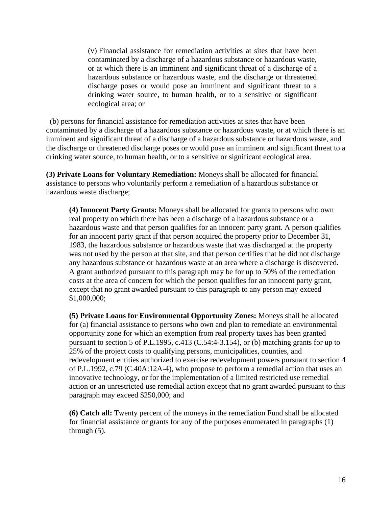(v) Financial assistance for remediation activities at sites that have been contaminated by a discharge of a hazardous substance or hazardous waste, or at which there is an imminent and significant threat of a discharge of a hazardous substance or hazardous waste, and the discharge or threatened discharge poses or would pose an imminent and significant threat to a drinking water source, to human health, or to a sensitive or significant ecological area; or

 (b) persons for financial assistance for remediation activities at sites that have been contaminated by a discharge of a hazardous substance or hazardous waste, or at which there is an imminent and significant threat of a discharge of a hazardous substance or hazardous waste, and the discharge or threatened discharge poses or would pose an imminent and significant threat to a drinking water source, to human health, or to a sensitive or significant ecological area.

**(3) Private Loans for Voluntary Remediation:** Moneys shall be allocated for financial assistance to persons who voluntarily perform a remediation of a hazardous substance or hazardous waste discharge;

**(4) Innocent Party Grants:** Moneys shall be allocated for grants to persons who own real property on which there has been a discharge of a hazardous substance or a hazardous waste and that person qualifies for an innocent party grant. A person qualifies for an innocent party grant if that person acquired the property prior to December 31, 1983, the hazardous substance or hazardous waste that was discharged at the property was not used by the person at that site, and that person certifies that he did not discharge any hazardous substance or hazardous waste at an area where a discharge is discovered. A grant authorized pursuant to this paragraph may be for up to 50% of the remediation costs at the area of concern for which the person qualifies for an innocent party grant, except that no grant awarded pursuant to this paragraph to any person may exceed \$1,000,000;

**(5) Private Loans for Environmental Opportunity Zones:** Moneys shall be allocated for (a) financial assistance to persons who own and plan to remediate an environmental opportunity zone for which an exemption from real property taxes has been granted pursuant to section 5 of P.L.1995, c.413 (C.54:4-3.154), or (b) matching grants for up to 25% of the project costs to qualifying persons, municipalities, counties, and redevelopment entities authorized to exercise redevelopment powers pursuant to section 4 of P.L.1992, c.79 (C.40A:12A-4), who propose to perform a remedial action that uses an innovative technology, or for the implementation of a limited restricted use remedial action or an unrestricted use remedial action except that no grant awarded pursuant to this paragraph may exceed \$250,000; and

**(6) Catch all:** Twenty percent of the moneys in the remediation Fund shall be allocated for financial assistance or grants for any of the purposes enumerated in paragraphs (1) through (5).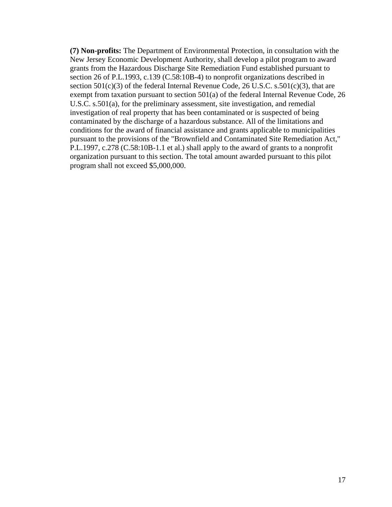**(7) Non-profits:** The Department of Environmental Protection, in consultation with the New Jersey Economic Development Authority, shall develop a pilot program to award grants from the Hazardous Discharge Site Remediation Fund established pursuant to section 26 of P.L.1993, c.139 (C.58:10B-4) to nonprofit organizations described in section  $501(c)(3)$  of the federal Internal Revenue Code, 26 U.S.C. s.501(c)(3), that are exempt from taxation pursuant to section 501(a) of the federal Internal Revenue Code, 26 U.S.C. s.501(a), for the preliminary assessment, site investigation, and remedial investigation of real property that has been contaminated or is suspected of being contaminated by the discharge of a hazardous substance. All of the limitations and conditions for the award of financial assistance and grants applicable to municipalities pursuant to the provisions of the "Brownfield and Contaminated Site Remediation Act," P.L.1997, c.278 (C.58:10B-1.1 et al.) shall apply to the award of grants to a nonprofit organization pursuant to this section. The total amount awarded pursuant to this pilot program shall not exceed \$5,000,000.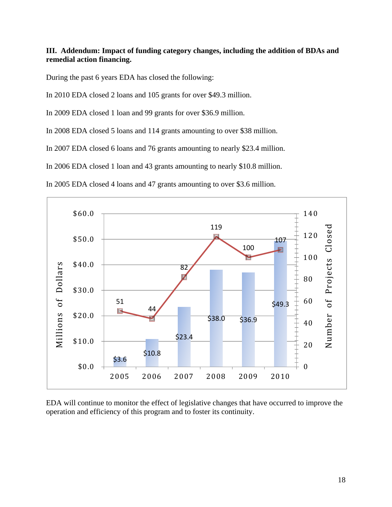#### **III. Addendum: Impact of funding category changes, including the addition of BDAs and remedial action financing.**

During the past 6 years EDA has closed the following:

In 2010 EDA closed 2 loans and 105 grants for over \$49.3 million.

In 2009 EDA closed 1 loan and 99 grants for over \$36.9 million.

In 2008 EDA closed 5 loans and 114 grants amounting to over \$38 million.

In 2007 EDA closed 6 loans and 76 grants amounting to nearly \$23.4 million.

In 2006 EDA closed 1 loan and 43 grants amounting to nearly \$10.8 million.

In 2005 EDA closed 4 loans and 47 grants amounting to over \$3.6 million.



EDA will continue to monitor the effect of legislative changes that have occurred to improve the operation and efficiency of this program and to foster its continuity.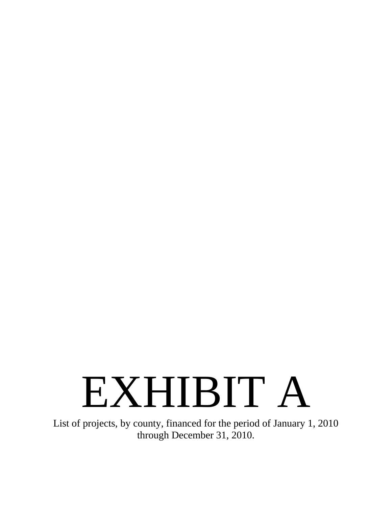# EXHIBIT A

List of projects, by county, financed for the period of January 1, 2010 through December 31, 2010.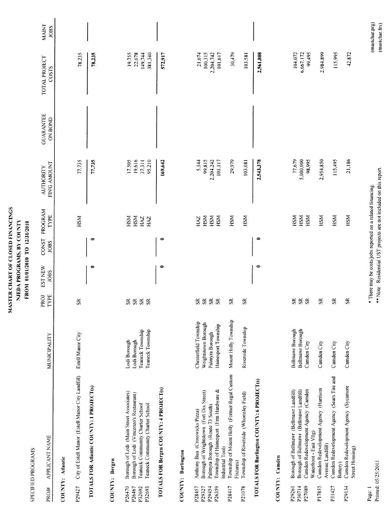|                                                  | SPECIFIED PROGRAMS                                                                                                                                          |                                                                      |                                                                                           | FROM 01/01/2010 TO 12/31/2010                              |                              |                                 |                                                                    |                             |                                        |                                  |
|--------------------------------------------------|-------------------------------------------------------------------------------------------------------------------------------------------------------------|----------------------------------------------------------------------|-------------------------------------------------------------------------------------------|------------------------------------------------------------|------------------------------|---------------------------------|--------------------------------------------------------------------|-----------------------------|----------------------------------------|----------------------------------|
| PROJ#                                            | APPLICANT NAME                                                                                                                                              | MUNICIPALITY                                                         | TYPE<br>PROJ                                                                              | <b>EST NEW</b><br><b>JOBS</b>                              | CONST PROGRAM<br><b>JOBS</b> | TYPE                            | FIN'G AMOUNT<br><b>AUTHORITY</b>                                   | <b>GUARANTEE</b><br>ON BOND | TOTAL PROJECT<br>COSTS                 | MAINT<br><b>JOBS</b>             |
|                                                  | COUNTY: Atlantic                                                                                                                                            |                                                                      |                                                                                           |                                                            |                              |                                 |                                                                    |                             |                                        |                                  |
| P29427                                           | City of Estell Manor (Estell Manor City Landfill)                                                                                                           | Estell Manor City                                                    | $S_{R}$                                                                                   |                                                            |                              | HSM                             | 77,735                                                             |                             | 78,235                                 |                                  |
|                                                  | TOTALS FOR Atlantic COUNTY: 1 PROJECT(s)                                                                                                                    |                                                                      |                                                                                           | $\bullet$                                                  | $\bullet$                    |                                 | 77,735                                                             |                             | 78,235                                 |                                  |
|                                                  | COUNTY: Bergen                                                                                                                                              |                                                                      |                                                                                           |                                                            |                              |                                 |                                                                    |                             |                                        |                                  |
| P <sub>26470</sub><br>P26467<br>P32692<br>P32693 | Borough of Lodi (Main Street Associates)<br>Borough of Lodi (Vincenzo's Restaurant)<br>Teaneck Community Charter School<br>Teaneck Community Charter School | Teaneck Township<br>Teaneck Township<br>Lodi Borough<br>Lodi Borough | $\mathbf{\widetilde{s}}$<br>$\mathbf{\mathbf{S}}$<br>$\mathbf{\hat{s}}$<br>S <sub>R</sub> |                                                            |                              | HSM<br>HSM<br><b>ZYH</b><br>HAZ | 17.505<br>19,616<br>95,210<br>37,311                               |                             | 19,755<br>22,078<br>381,340<br>149,744 |                                  |
|                                                  | TOTALS FOR Bergen COUNTY: 4 PROJECT(s)                                                                                                                      |                                                                      |                                                                                           | $\bullet$                                                  | 0                            |                                 | 169,642                                                            |                             | 572,917                                |                                  |
|                                                  | <b>COUNTY: Burlington</b>                                                                                                                                   |                                                                      |                                                                                           |                                                            |                              |                                 |                                                                    |                             |                                        |                                  |
| P28457<br>P29327                                 | Borough of Wrightstown (Fort Dix Street)<br>Anthony Bua (Crosswicks Pizza)                                                                                  | Chesterfield Township<br>Wrightstown Borough                         | ${\rm S} {\rm R}$<br>≃<br>ω                                                               |                                                            |                              | HSM<br>HAZ                      | 5,144<br>99,815                                                    |                             | 100.315<br>21.074                      |                                  |
| P26359<br>P29454                                 | Township of Hainesport (Frm Hardware &<br>Palmyra Borough (Route 73 South)<br>Industrial Tool)                                                              | Hainesport Township<br>Palmyra Borough                               | $\mathbf{S} \mathbf{R}$<br>$\mathfrak{R}$                                                 |                                                            |                              | HSM<br>HSM                      | 2,204.242<br>101,117                                               |                             | 101,617<br>2,204,742                   |                                  |
| P28417                                           | Township of Mount Holly (Former Regal Custom<br>Fixtures)                                                                                                   | Mount Holly Township                                                 | $\mathfrak{K}$                                                                            |                                                            |                              | HSM                             | 29,979                                                             |                             | 30,479                                 |                                  |
| P21078                                           | Township of Riverside (Whomsley Field)                                                                                                                      | Riverside Township                                                   | $\mathbf{g}$                                                                              |                                                            |                              | HSM                             | 103,081                                                            |                             | 103,581                                |                                  |
|                                                  | TOTALS FOR Burlington COUNTY: 6 PROJECT(s)                                                                                                                  |                                                                      |                                                                                           | 0                                                          | $\bullet$                    |                                 | 2,543,378                                                          |                             | 2,561,808                              |                                  |
|                                                  | COUNTY: Camden                                                                                                                                              |                                                                      |                                                                                           |                                                            |                              |                                 |                                                                    |                             |                                        |                                  |
| P30714<br>P29261                                 | Borough of Bellmawr (Bellmawr Landfill)                                                                                                                     | Bellmawr Borough                                                     | $\mathbf{\hat{s}}$                                                                        |                                                            |                              | <b>HSM</b>                      | 77,679                                                             |                             | 104,072                                |                                  |
| P27089                                           | Camden Redevelopment Agency (Camden<br>Borough of Bellmawr (Bellmawr Landfill)<br>Waterfront - East VIIg)                                                   | <b>Bellmawr Borough</b><br>Camden City                               | ${\mathfrak{K}}$ ${\mathfrak{K}}$                                                         |                                                            |                              | HSM<br>HSM                      | 5,000,000<br>98,995                                                |                             | 6,667,172<br>99,495                    |                                  |
| P17855                                           | Camden Redevelopment Agency (Harrison<br>Avenue Landfill)                                                                                                   | Camden City                                                          | $\Im$                                                                                     |                                                            |                              | HSM                             | 2,954,850                                                          |                             | 2,984,899                              |                                  |
| P31427                                           | Camden Redevelopment Agency (Sears Tire and<br>Battery)                                                                                                     | Camden City                                                          | $\tilde{\mathbf{z}}$                                                                      |                                                            |                              | HSM                             | 115,495                                                            |                             | 115,995                                |                                  |
| P29134                                           | Camden Redevelopment Agency (Sycamore<br>Street Housing)                                                                                                    | Camden City                                                          | $\tilde{5}$                                                                               |                                                            |                              | HSM                             | 21,186                                                             |                             | 42,872                                 |                                  |
| Page: 1                                          | Printed: 05/25/2011                                                                                                                                         |                                                                      |                                                                                           | * There may be costs/jobs reported on a related financing. |                              |                                 | ** Note: Residential UST projects are not included on this report. |                             |                                        | (mastchar.prg)<br>(mastchar.frx) |

MASTER CHART OF CLOSED FINANCINGS NJEDA PROGRAMS, BY COUNTY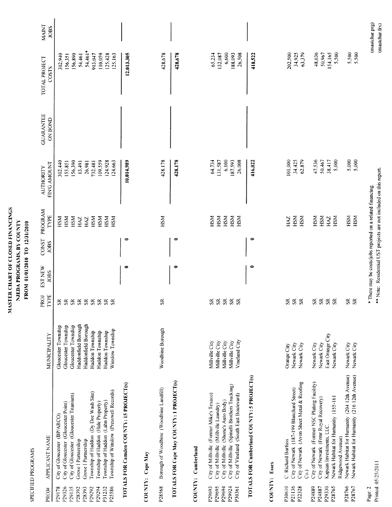| MASTER CHART OF CLOSED FINANCINGS | NJEDA PROGRANIS, BY COUNTY | FROM 01/01/2010 TO 12/31/2010 |
|-----------------------------------|----------------------------|-------------------------------|
|-----------------------------------|----------------------------|-------------------------------|

SPECIFIED PROGRAMS

| PROJ#              | APPLICANT NAME                                                     | MUNICIPALITY        | PROJ<br>TYPE            | EST NEW<br><b>JOBS</b> | JOBS | CONST PROGRAM<br>TYPE                                      | FIN'G AMOUNT<br><b>AUTHORITY</b>                                   | <b>GUARANTEE</b><br><b>ON BOND</b> | TOTAL PROJECT<br>COSTS | <b>MAINT</b><br><b>JOBS</b> |
|--------------------|--------------------------------------------------------------------|---------------------|-------------------------|------------------------|------|------------------------------------------------------------|--------------------------------------------------------------------|------------------------------------|------------------------|-----------------------------|
|                    |                                                                    |                     |                         |                        |      |                                                            |                                                                    |                                    |                        |                             |
| P29178             | City of Gloucester (BP/ARCO)                                       | Gloucester Township | œ,                      |                        |      | НSМ                                                        | 302,440                                                            |                                    | 302,940                |                             |
| P29326             | City of Gloucester (Gloucester Point)                              | Gloucester Township | $\simeq$<br>∽           |                        |      | НSМ                                                        | 155,851                                                            |                                    | 156,351                |                             |
| P29135             | City of Gloucester (Gloucester Titanium)                           | Gloucester Township | $\simeq$<br>s           |                        |      | НSМ                                                        | 156,390                                                            |                                    |                        |                             |
| P <sub>28392</sub> | Grove I Partnership                                                | Haddonfield Borough | $\simeq$                |                        |      |                                                            |                                                                    |                                    | 156,890                |                             |
| P28393             |                                                                    |                     | S.                      |                        |      | HAZ                                                        | 13,491                                                             |                                    | 54,461                 |                             |
|                    | Grove I Partnership                                                | Haddonfield Borough | $\mathbb{S}^2$          |                        |      | HAZ                                                        | 26,981                                                             |                                    | 54,461*                |                             |
| P29292             | Township of Haddon (Dy Dee Wash Site)                              | Haddon Township     | $\mathbf{S} \mathbf{R}$ |                        |      | HSM                                                        | 732.481                                                            |                                    | 913,047                |                             |
| P29294             | Township of Haddon (Hale Property)                                 | Haddon Township     | ${\rm S}$               |                        |      | HSM                                                        | 109,559                                                            |                                    | 110,059                |                             |
| P31232             | Township of Haddon (Lahn Property)                                 | Haddon Township     | ${\sf SR}$              |                        |      | HSM                                                        | 24,928                                                             |                                    | 125,428                |                             |
| P25586             | Township of Winslow (Presswell Records)                            | Winslow Township    | $\approx$               |                        |      | НSМ                                                        | 124,663                                                            |                                    | 125,163                |                             |
|                    | TOTALS FOR Camden COUNTY: IS PROJECT(s)                            |                     |                         | $\Rightarrow$          | ⇨    |                                                            | 10,014,989                                                         |                                    | 12,013,305             |                             |
|                    | COUNTY: Cape May                                                   |                     |                         |                        |      |                                                            |                                                                    |                                    |                        |                             |
| P28568             | Borough of Woodbine (Woodbine Landfill)                            | Woodbine Borough    | $\mathbf{S}$            |                        |      | HSM                                                        | 428,178                                                            |                                    | 428,678                |                             |
|                    | TOTALS FOR Cape May COUNTY: 1 PROJECT(s)                           |                     |                         | $\bullet$              | ¢    |                                                            | 428,178                                                            |                                    | 428,678                |                             |
|                    | COUNTY: Cumberland                                                 |                     |                         |                        |      |                                                            |                                                                    |                                    |                        |                             |
| P29693             | City of Millville (Former Mike's Texaco)                           | Millville City      | œ.                      |                        |      | HSM                                                        |                                                                    |                                    |                        |                             |
| P29695             | City of Millville (Millville Laundry)                              | Millville City      | $\mathbf{\mathbf{S}}$   |                        |      | HSM                                                        | 64,734<br>131,587                                                  |                                    | 65,234<br>132,087      |                             |
| P29694             | City of Millville (Shone's Auto Body)                              | Millville City      | $\mathbb{S}$            |                        |      | НSМ                                                        | 6,100                                                              |                                    | 6,600                  |                             |
| P29924             | City of Millville (Spinelli Brothers Trucking)                     | Millville City      | $\mathbf{\hat{s}}$      |                        |      | НSМ                                                        | 187,593                                                            |                                    | 188,093                |                             |
| P30361             | City of Vineland (South East Boulevard)                            | Vineland City       | S <sub>2</sub>          |                        |      | <b>HSM</b>                                                 | 26,008                                                             |                                    | 26,508                 |                             |
|                    | TOTALS FOR Cumberland COUNTY: 5 PROJECT(s)                         |                     |                         | 0                      | 0    |                                                            | 416,022                                                            |                                    | 418,522                |                             |
|                    | COUNTY: Essex                                                      |                     |                         |                        |      |                                                            |                                                                    |                                    |                        |                             |
| P30610             | C. Richard Barfuss                                                 | Orange City         | ¥.                      |                        |      | HAZ                                                        | 101,000                                                            |                                    | 202,500                |                             |
| P21136             | City of Newark (187-199 Blanchard Street)                          | Newark City         | $\cong$                 |                        |      | HSM                                                        | 34,425                                                             |                                    | 34,925                 |                             |
| P22328             | City of Newark (Avon Sheet Metal & Roofing<br>$\widehat{c}$        | Newark City         | S <sub>2</sub>          |                        |      | HSM                                                        | 62,879                                                             |                                    | 63,379                 |                             |
| P24889             | City of Newark (Former NSC Plating Facility)                       | Newark City         | œ                       |                        |      | HSM                                                        | 47,536                                                             |                                    | 48,036                 |                             |
| P24887             | City of Newark (Frmr Royal Recovery)                               | Newark City         | S <sub>R</sub>          |                        |      | HSM                                                        | 50,467                                                             |                                    | 50,967                 |                             |
| P29330             | Kapsan Investments, LLC.                                           | East Orange City    | ${\mathbf S}$           |                        |      | HAZ                                                        | 38,417                                                             |                                    | 154,165                |                             |
| P28765             | Newark Habitat for Humanity (155-161                               | Newark City         | SR.                     |                        |      | HSM                                                        | 5,000                                                              |                                    | 5,500                  |                             |
| P28766             | Newark Habitat for Humanity (204 12th Avenue)<br>Ridgewood Avenue) |                     |                         |                        |      |                                                            |                                                                    |                                    |                        |                             |
| P28767             |                                                                    | Newark City         | $\Im$                   |                        |      | HSM                                                        | 5,000                                                              |                                    | 5,500                  |                             |
|                    | Newark Habitat for Humanity (216 12th Avenue)                      | Newark City         | S <sub>R</sub>          |                        |      | HSM                                                        | 5,000                                                              |                                    | 5,500                  |                             |
| Page: 2            |                                                                    |                     |                         |                        |      | * There may be costs/jobs reported on a related financing. |                                                                    |                                    |                        | (mastchar.prg)              |
|                    | Printed: 05/25/2011                                                |                     |                         |                        |      |                                                            | ** Note: Residential UST projects are not included on this report. |                                    |                        | (mastchar.frx)              |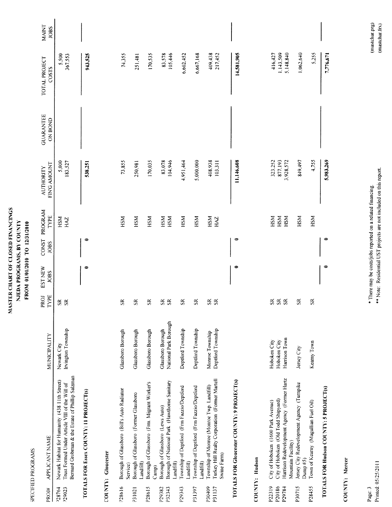|                            | SPECIFIED PROGRAMS                                                                                                                                 |                                                   |                          |                        |                      |                   |                                  |                             |                                   |                      |
|----------------------------|----------------------------------------------------------------------------------------------------------------------------------------------------|---------------------------------------------------|--------------------------|------------------------|----------------------|-------------------|----------------------------------|-----------------------------|-----------------------------------|----------------------|
| PROJ#                      | <b>APPLICANT NAME</b>                                                                                                                              | MUNICIPALITY                                      | PROJ<br>TYPE             | EST NEW<br><b>JOBS</b> | <b>CONST</b><br>JOBS | PROGRAM<br>TYPE   | FIN'G AMOUNT<br><b>AUTHORITY</b> | <b>GUARANTEE</b><br>ON BOND | TOTAL PROJECT<br>COSTS            | MAINT<br><b>JOBS</b> |
| $-28764$<br>P29023         | Bernard Grobman & the Estate of Phillip Salzman<br>Newark Habitat for Humanity (438 11th Street)<br>Trust Formed Under Article VIII of the Will of | Irvington Township<br>Newark City                 | $S\tilde{R}$             |                        |                      | HSM<br><b>ZYH</b> | 5,000<br>183,527                 |                             | 5,500<br>367,553                  |                      |
|                            | TOTALS FOR Essex COUNTY: 11 PROJECT(s)                                                                                                             |                                                   |                          | 0                      | $\bullet$            |                   | 538,251                          |                             | 943,525                           |                      |
|                            | COUNTY: Gloucester                                                                                                                                 |                                                   |                          |                        |                      |                   |                                  |                             |                                   |                      |
| P28616                     | Borough of Glassboro (Bill's Auto Radiator                                                                                                         | Glassboro Borough                                 | $\mathfrak{K}$           |                        |                      | HSM               | 73,855                           |                             | 74,355                            |                      |
| P31021                     | Borough of Glassboro (Former Glassboro<br>Landfill)<br>Service)                                                                                    | Glassboro Borough                                 | $\Im$                    |                        |                      | HSM               | 250,981                          |                             | 251,481                           |                      |
| P28615                     | Borough of Glassboro (Frm. Migrant Worker's<br>Camp)                                                                                               | <b>Glassboro Borough</b>                          | S <sub>R</sub>           |                        |                      | HSM               | 170,035                          |                             | 170,535                           |                      |
| P29382<br>P32343           | Borough of National Park (Hawthorne Sanitary<br>Borough of Glassboro (Lews Auto)<br>Landfill)                                                      | National Park Borough<br><b>Glassboro Borough</b> | SR<br>SR                 |                        |                      | HSM<br>HSM        | 83,078<br>104,946                |                             | 105,446<br>83,578                 |                      |
| P29343                     | Township of Deptford (Frm Fazzio/Deptford<br>Landfill)                                                                                             | Deptford Township                                 | $\mathbf{\widetilde{s}}$ |                        |                      | HSM               | 4,951,464                        |                             | 6,602,452                         |                      |
| P31397                     | Township of Deptford (Frm Fazzio/Deptford<br>Landfill)                                                                                             | Deptford Township                                 | $S_{\rm R}$              |                        |                      | HSM               | 5,000,000                        |                             | 6,667,168                         |                      |
| P30409<br>P31137           | Turkey Hill Realty Corporation (Former Martell<br>Township of Monroe (Monroe Twp. Landfill)<br>Swine Farm)                                         | Deptford Township<br>Monroe Township              | \$g                      |                        |                      | HSM<br><b>ZKH</b> | 408.938<br>103,311               |                             | 409,438<br>217,452                |                      |
|                            | TOTALS FOR Gloucester COUNTY: 9 PROJECT(s)                                                                                                         |                                                   |                          | 0                      | $\bullet$            |                   | 11,146,608                       |                             | 14,581,905                        |                      |
|                            | COUNTY: Hudson                                                                                                                                     |                                                   |                          |                        |                      |                   |                                  |                             |                                   |                      |
| P22319<br>P20186<br>P29784 | Harrison Redevelopment Agency (Former Hartz<br>City of Hoboken (Old Todd Shipyard)<br>City of Hoboken (1600 Park Avenue)                           | Harrison Town<br>Hoboken City<br>Hoboken City     | $\frac{8}{3}$<br>\$g\$   |                        |                      | HSM<br>HSM<br>HSM | 877,193<br>323,252<br>3,928,572  |                             | 1.143.509<br>5,148,840<br>416,427 |                      |
| P30715                     | Jersey City Redevelopment Agency (Turnpike<br>Mountain Facility)                                                                                   | Jersey City                                       | $\mathfrak{K}$           |                        |                      | HSM               | 849,497                          |                             | 1,062,640                         |                      |
| P28455                     | Town of Kearny (Magullian Fuel Oil)<br>Dunp #5)                                                                                                    | Keamy Town                                        | $\tilde{\mathbf{z}}$     |                        |                      | HSM               | 4,755                            |                             | 5,255                             |                      |
|                            | TOTALS FOR Hudson COUNTY: 5 PROJECT(s)                                                                                                             |                                                   |                          | 0                      | 0                    |                   | 5,983,269                        |                             | 7,776,671                         |                      |

COUNTY: Mercer

Page: 3<br>Printed: 05/25/2011

\*\* Note: Residential UST projects are not included on this report. \* There may be costs/jobs reported on a related financing.

# (mastchar.prg)<br>(mastchar.frx)

NJEDA PROGRAMS, BY COUNTY FROM 01/01/2010 TO 12/31/2010

MASTER CHART OF CLOSED FINANCINGS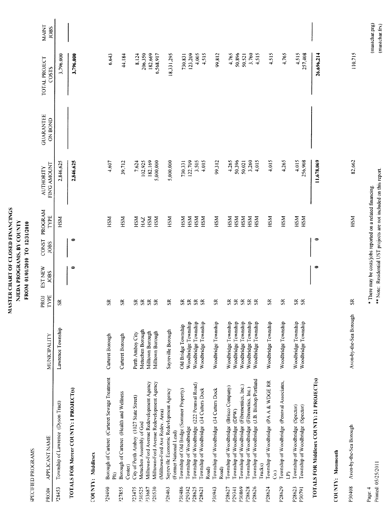|  | MASTER CHART OF CLOSED FINANCINGS | NJEDA PROGRAMS, BY COUNTY | FROM 01/01/2010 TO 12/31/2010 |
|--|-----------------------------------|---------------------------|-------------------------------|
|--|-----------------------------------|---------------------------|-------------------------------|

SPECIFIED PROGRAMS

| APPLICANT NAME                                 | MUNICIPALITY                                                                                                                                                                                                                                                                                                                                                                                                                                                                                                                                                                                                                                                                                                                                                                                                                                 | PROJ<br>TYPE                                                                                                                                                                                                                                       | EST NEW<br><b>JOBS</b>                                                                          | CONST PROGRAM<br>TYPE<br><b>JOBS</b> | FIN'G AMOUNT<br><b>AUTHORITY</b>                     | <b>GUARANTEE</b><br><b>ON BOND</b>                                                                                                        | TOTAL PROJECT<br>COSTS | <b>MAINT</b><br><b>JOBS</b>                                                                                                                |
|------------------------------------------------|----------------------------------------------------------------------------------------------------------------------------------------------------------------------------------------------------------------------------------------------------------------------------------------------------------------------------------------------------------------------------------------------------------------------------------------------------------------------------------------------------------------------------------------------------------------------------------------------------------------------------------------------------------------------------------------------------------------------------------------------------------------------------------------------------------------------------------------------|----------------------------------------------------------------------------------------------------------------------------------------------------------------------------------------------------------------------------------------------------|-------------------------------------------------------------------------------------------------|--------------------------------------|------------------------------------------------------|-------------------------------------------------------------------------------------------------------------------------------------------|------------------------|--------------------------------------------------------------------------------------------------------------------------------------------|
| Township of Lawrence (Dyson Tract)             | Lawrence Township                                                                                                                                                                                                                                                                                                                                                                                                                                                                                                                                                                                                                                                                                                                                                                                                                            | $\mathbf{S}$                                                                                                                                                                                                                                       |                                                                                                 | HSM                                  | 2,846,625                                            |                                                                                                                                           | 3,796,000              |                                                                                                                                            |
|                                                |                                                                                                                                                                                                                                                                                                                                                                                                                                                                                                                                                                                                                                                                                                                                                                                                                                              |                                                                                                                                                                                                                                                    | $\bullet$                                                                                       | 0                                    | 2,846,625                                            |                                                                                                                                           | 3,796,000              |                                                                                                                                            |
|                                                |                                                                                                                                                                                                                                                                                                                                                                                                                                                                                                                                                                                                                                                                                                                                                                                                                                              |                                                                                                                                                                                                                                                    |                                                                                                 |                                      |                                                      |                                                                                                                                           |                        |                                                                                                                                            |
| Borough of Carteret (Carteret Sewage Treatment | Carteret Borough                                                                                                                                                                                                                                                                                                                                                                                                                                                                                                                                                                                                                                                                                                                                                                                                                             | $\Im$                                                                                                                                                                                                                                              |                                                                                                 | <b>HSM</b>                           | 4,607                                                |                                                                                                                                           | 6,643                  |                                                                                                                                            |
| Borough of Carteret (Health and Wellness       | Carteret Borough                                                                                                                                                                                                                                                                                                                                                                                                                                                                                                                                                                                                                                                                                                                                                                                                                             | $\tilde{s}$                                                                                                                                                                                                                                        |                                                                                                 | HSM                                  | 39,712                                               |                                                                                                                                           | 44,184                 |                                                                                                                                            |
|                                                |                                                                                                                                                                                                                                                                                                                                                                                                                                                                                                                                                                                                                                                                                                                                                                                                                                              |                                                                                                                                                                                                                                                    |                                                                                                 |                                      |                                                      |                                                                                                                                           |                        |                                                                                                                                            |
| Metuchen Assembly of God                       | Metuchen Borough                                                                                                                                                                                                                                                                                                                                                                                                                                                                                                                                                                                                                                                                                                                                                                                                                             | S <sub>R</sub>                                                                                                                                                                                                                                     |                                                                                                 | HAZ                                  |                                                      |                                                                                                                                           |                        |                                                                                                                                            |
|                                                | Milltown Borough                                                                                                                                                                                                                                                                                                                                                                                                                                                                                                                                                                                                                                                                                                                                                                                                                             | $s\approx$                                                                                                                                                                                                                                         |                                                                                                 | HSM                                  |                                                      |                                                                                                                                           |                        |                                                                                                                                            |
|                                                |                                                                                                                                                                                                                                                                                                                                                                                                                                                                                                                                                                                                                                                                                                                                                                                                                                              | $S_{R}$                                                                                                                                                                                                                                            |                                                                                                 | HSM                                  | 5,000,000                                            |                                                                                                                                           | 6,568,917              |                                                                                                                                            |
|                                                |                                                                                                                                                                                                                                                                                                                                                                                                                                                                                                                                                                                                                                                                                                                                                                                                                                              |                                                                                                                                                                                                                                                    |                                                                                                 |                                      |                                                      |                                                                                                                                           |                        |                                                                                                                                            |
| (Former National Lead)                         |                                                                                                                                                                                                                                                                                                                                                                                                                                                                                                                                                                                                                                                                                                                                                                                                                                              |                                                                                                                                                                                                                                                    |                                                                                                 |                                      |                                                      |                                                                                                                                           |                        |                                                                                                                                            |
| Township of Old Bridge (Sommer Property)       | Old Bridge Township                                                                                                                                                                                                                                                                                                                                                                                                                                                                                                                                                                                                                                                                                                                                                                                                                          |                                                                                                                                                                                                                                                    |                                                                                                 | НSМ                                  |                                                      |                                                                                                                                           |                        |                                                                                                                                            |
|                                                | Woodbridge Township                                                                                                                                                                                                                                                                                                                                                                                                                                                                                                                                                                                                                                                                                                                                                                                                                          |                                                                                                                                                                                                                                                    |                                                                                                 |                                      |                                                      |                                                                                                                                           |                        |                                                                                                                                            |
|                                                | Woodbridge Township                                                                                                                                                                                                                                                                                                                                                                                                                                                                                                                                                                                                                                                                                                                                                                                                                          | $\mathbf{\hat{s}}$                                                                                                                                                                                                                                 |                                                                                                 | HSM                                  |                                                      |                                                                                                                                           |                        |                                                                                                                                            |
|                                                |                                                                                                                                                                                                                                                                                                                                                                                                                                                                                                                                                                                                                                                                                                                                                                                                                                              | S <sub>2</sub>                                                                                                                                                                                                                                     |                                                                                                 | HSM                                  |                                                      |                                                                                                                                           |                        |                                                                                                                                            |
|                                                |                                                                                                                                                                                                                                                                                                                                                                                                                                                                                                                                                                                                                                                                                                                                                                                                                                              |                                                                                                                                                                                                                                                    |                                                                                                 |                                      |                                                      |                                                                                                                                           |                        |                                                                                                                                            |
| Road)                                          |                                                                                                                                                                                                                                                                                                                                                                                                                                                                                                                                                                                                                                                                                                                                                                                                                                              |                                                                                                                                                                                                                                                    |                                                                                                 |                                      |                                                      |                                                                                                                                           |                        |                                                                                                                                            |
|                                                |                                                                                                                                                                                                                                                                                                                                                                                                                                                                                                                                                                                                                                                                                                                                                                                                                                              |                                                                                                                                                                                                                                                    |                                                                                                 |                                      |                                                      |                                                                                                                                           |                        |                                                                                                                                            |
|                                                |                                                                                                                                                                                                                                                                                                                                                                                                                                                                                                                                                                                                                                                                                                                                                                                                                                              |                                                                                                                                                                                                                                                    |                                                                                                 |                                      |                                                      |                                                                                                                                           |                        |                                                                                                                                            |
|                                                |                                                                                                                                                                                                                                                                                                                                                                                                                                                                                                                                                                                                                                                                                                                                                                                                                                              |                                                                                                                                                                                                                                                    |                                                                                                 |                                      |                                                      |                                                                                                                                           |                        |                                                                                                                                            |
|                                                |                                                                                                                                                                                                                                                                                                                                                                                                                                                                                                                                                                                                                                                                                                                                                                                                                                              | S <sub>R</sub>                                                                                                                                                                                                                                     |                                                                                                 | HSМ                                  |                                                      |                                                                                                                                           |                        |                                                                                                                                            |
|                                                |                                                                                                                                                                                                                                                                                                                                                                                                                                                                                                                                                                                                                                                                                                                                                                                                                                              |                                                                                                                                                                                                                                                    |                                                                                                 | <b>MSH</b>                           | 4,015                                                |                                                                                                                                           | 4,515                  |                                                                                                                                            |
| Township of Woodbridge (PA A & WDGE RR         | Woodbridge Township                                                                                                                                                                                                                                                                                                                                                                                                                                                                                                                                                                                                                                                                                                                                                                                                                          | $\Im$                                                                                                                                                                                                                                              |                                                                                                 | HSM                                  | 4.015                                                |                                                                                                                                           | 4,515                  |                                                                                                                                            |
| Township of Woodbridge (Pennval Associates,    | Woodbridge Township                                                                                                                                                                                                                                                                                                                                                                                                                                                                                                                                                                                                                                                                                                                                                                                                                          | $\mathfrak{K}$                                                                                                                                                                                                                                     |                                                                                                 | HSM                                  | 4,265                                                |                                                                                                                                           | 4,765                  |                                                                                                                                            |
|                                                |                                                                                                                                                                                                                                                                                                                                                                                                                                                                                                                                                                                                                                                                                                                                                                                                                                              |                                                                                                                                                                                                                                                    |                                                                                                 |                                      |                                                      |                                                                                                                                           |                        |                                                                                                                                            |
| Township of Woodbridge (Spector)               | Woodbridge Township                                                                                                                                                                                                                                                                                                                                                                                                                                                                                                                                                                                                                                                                                                                                                                                                                          | $S_{R}$                                                                                                                                                                                                                                            |                                                                                                 | HSM                                  | 256,908                                              |                                                                                                                                           | 257,408                |                                                                                                                                            |
|                                                |                                                                                                                                                                                                                                                                                                                                                                                                                                                                                                                                                                                                                                                                                                                                                                                                                                              |                                                                                                                                                                                                                                                    | 0                                                                                               | 0                                    | 11,678,069                                           |                                                                                                                                           | 26,696,214             |                                                                                                                                            |
|                                                |                                                                                                                                                                                                                                                                                                                                                                                                                                                                                                                                                                                                                                                                                                                                                                                                                                              |                                                                                                                                                                                                                                                    |                                                                                                 |                                      |                                                      |                                                                                                                                           |                        |                                                                                                                                            |
| Avon-by-the-Sea Borough                        | Avon-by-the-Sea Borough                                                                                                                                                                                                                                                                                                                                                                                                                                                                                                                                                                                                                                                                                                                                                                                                                      | $\Im$                                                                                                                                                                                                                                              |                                                                                                 | HSM                                  | 82,662                                               |                                                                                                                                           | 110.715                |                                                                                                                                            |
|                                                | Township of Woodbridge (J.B. Bishop/Portland<br>TOTALS FOR Middlesex COUNTY: 21 PROJECT(s)<br>Milltown-Ford Avenue Redevelopment Agency<br>Milltown-Ford Avenue Redevelopment Agency<br>Township of Woodbridge (222 Pennval Road)<br>Township of Woodbridge (Fibrenentics, Inc.)<br>Township of Woodbridge (Brisco Company)<br>Township of Woodbridge (Fibrenetics, Inc.)<br>Township of Woodbridge (34 Cutters Dock<br>TOTALS FOR Mercer COUNTY: 1 PROJECT(s)<br>Township of Woodbridge (34 Cutters Dock<br>Sayreville Economic Redevlopment Agency<br>City of Perth Amboy (1027 State Street)<br>Township of Woodbridge (Spector)<br>Township of Woodbridge (DPW)<br>(Milltown-Ford Ave Redev. Area)<br>Township of Woodbridge<br>COUNTY: Monmouth<br>COUNTY: Middlesex<br>Trucks)<br>Center)<br>Road)<br>ි<br>$\widehat{\mathbb{E}}$<br>Ê | Woodbridge Township<br>Woodbridge Township<br>Woodbridge Township<br>Woodbridge Township<br>Woodbridge Township<br>Woodbridge Township<br>Woodbridge Township<br>Woodbridge Township<br>Sayreville Borough<br>Milltown Borough<br>Perth Amboy City | S S<br>\$8<br>SR.<br>$\Im$<br>$S_{\kappa}$<br>S <sub>R</sub><br>$\mathfrak{R}$<br>$\mathfrak K$ |                                      | HSM<br>HSM<br>HSM<br>HSM<br>HSM<br>HSM<br>КSН<br>HSM | 182.169<br>50,396<br>4,015<br>122,709<br>3,505<br>4,015<br>99,312<br>4,265<br>3,260<br>7,624<br>102,925<br>5,000,000<br>50,021<br>730,331 |                        | 182,669<br>50,896<br>3.760<br>4,515<br>206,350<br>123,209<br>4,005<br>4,515<br>99,812<br>4,765<br>8,124<br>18,331,295<br>730,831<br>50,521 |

Page: 4<br>Printed: 05/25/2011

\*\* Note: Residential UST projects are not included on this report. \* There may be costs/jobs reported on a related financing.

 $(mastchar.png)$ <br> $(mastchar.frx)$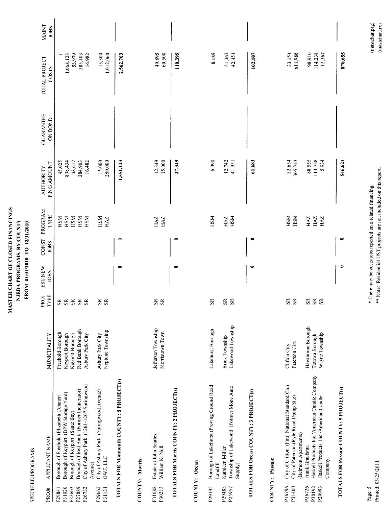|                              | SPECIFIED PROGRAMS                                                                      |                                       |                                | <b>ALASANA LAINAS</b>         | <b>NATISIT OI</b>    |                 |                                  |                                    |                        |                             |
|------------------------------|-----------------------------------------------------------------------------------------|---------------------------------------|--------------------------------|-------------------------------|----------------------|-----------------|----------------------------------|------------------------------------|------------------------|-----------------------------|
| PROJ#                        | <b>APPLICANT NAME</b>                                                                   | MUNICIPALITY                          | TYPE<br>PROJ                   | <b>EST NEW</b><br><b>JOBS</b> | <b>CONST</b><br>JOBS | PROGRAM<br>TYPE | FIN'G AMOUNT<br><b>AUTHORITY</b> | <b>GUARANTEE</b><br><b>ON BOND</b> | TOTAL PROJECT<br>COSTS | <b>MAINT</b><br><b>JOBS</b> |
| P29841                       | Borough of Freehold (Elizabeth Colaner)                                                 | Freehold Borough                      | $\mathbf{S}$                   |                               |                      | HSM             | 45,025                           |                                    |                        |                             |
| P31020                       | Borough of Keyport (DPW Storage Yard)                                                   | Keyport Borough                       | $\mathbb{S}$                   |                               |                      | HSM             | 808.434                          |                                    |                        |                             |
| P32603                       | Borough of Keyport (Saute Bay)                                                          | Keyport Borough                       | $\mathbb{S}\mathbb{R}$         |                               |                      |                 |                                  |                                    | 1,068,123              |                             |
| P27889                       | Borough of Red Bank (Former Incinerator)                                                | Red Bank Borough                      | $\mathbf{S}$                   |                               |                      | HSM             | 48,617                           |                                    | 53,979                 |                             |
| P <sub>26732</sub>           | City of Asbury Park (1201-1207 Springwood                                               | Asbury Park City                      | $S\zeta$                       |                               |                      | <b>NSH</b>      | 284,903                          |                                    | 285,403                |                             |
|                              | Avenue)                                                                                 |                                       |                                |                               |                      | HSM             | 16,482                           |                                    | 16,982                 |                             |
| P29662                       | City of Asbury Park (Springwood Avenue)                                                 | Asbury Park City                      | $\mathbf{S}$                   |                               |                      | HSM             | 15,000                           |                                    | 15,500                 |                             |
| <b>P31131</b>                | OWF, LLC                                                                                | Neptune Township                      | S <sub>2</sub>                 |                               |                      | <b>AN</b>       | 250,000                          |                                    | 1,012,060              |                             |
|                              | TOTALS FOR Monmouth COUNTY: 8 PROJECT(s)                                                |                                       |                                | $\bullet$                     | $\Rightarrow$        |                 | 1,551,123                        |                                    | 2,562,763              |                             |
|                              | COUNTY: Morris                                                                          |                                       |                                |                               |                      |                 |                                  |                                    |                        |                             |
| P31088<br>P30213             | Estate of John Searles<br>William K. Null                                               | Jefferson Township<br>Morristown Town | $\mathbf{S}$<br>$\mathfrak{R}$ |                               |                      | HAZ<br>НAZ      | 12,349<br>15,000                 |                                    | 49,895                 |                             |
|                              |                                                                                         |                                       |                                |                               |                      |                 |                                  |                                    | 60,500                 |                             |
|                              | TOTALS FOR Morris COUNTY: 2 PROJECT(s)                                                  |                                       |                                | $\bullet$                     | $\bullet$            |                 | 27,349                           |                                    | 110,395                |                             |
|                              | COUNTY: Ocean                                                                           |                                       |                                |                               |                      |                 |                                  |                                    |                        |                             |
| P <sub>29192</sub>           | Borough of Lakehurst (Proving Ground Road<br>Landfill                                   | Lakehurst Borough                     | $\mathbf{S}$ R                 |                               |                      | HSM             | 6,990                            |                                    | 8,189                  |                             |
| P29483                       | Kathleen Miller                                                                         | <b>Brick Township</b>                 | $S_{R}$                        |                               |                      | HAZ             | 12.742                           |                                    | 51,467                 |                             |
| P25957                       | Township of Lakewood (Former Mone Auto<br>Supply)                                       | Lakewood Township                     | $\Im$                          |                               |                      | HSM             | 41,951                           |                                    | $+2, +51$              |                             |
|                              | TOTALS FOR Ocean COUNTY: 3 PROJECT(s)                                                   |                                       |                                | 0                             | 0                    |                 | 61,683                           |                                    | 102,107                |                             |
|                              | COUNTY: Passaic                                                                         |                                       |                                |                               |                      |                 |                                  |                                    |                        |                             |
| P16796                       | City of Clifton (Fmr. National Standard Co.)                                            | Clifton City                          | $\mathbf{\hat{s}}$             |                               |                      | HSM             | 32,654                           |                                    | 33,154                 |                             |
| P31400                       | City of Paterson (Ryle Road Dump Site)<br>(Belmont Apartments)                          | Paterson City                         | S <sub>R</sub>                 |                               |                      | HSM             | 305,743                          |                                    | 611,986                |                             |
| P <sub>26726</sub><br>P30192 | Frank Graafsma                                                                          | Hawthorne Borough                     | $\Im$                          |                               |                      | <b>ZYH</b>      | 88,555                           |                                    | 98,910                 |                             |
| P <sub>29993</sub>           | Haskell Products Inc./American Candle Company<br>Haskell Products, Inc./American Candle | Wayne Township<br>Totowa Borough      | $S\ddot{R}$                    |                               |                      | HAZ<br>ZH       | 113,738<br>5,934                 |                                    | 114,238<br>12,367      |                             |
|                              | Company                                                                                 |                                       |                                |                               |                      |                 |                                  |                                    |                        |                             |
|                              | TOTALS FOR Passaic COUNTY: 5 PROJECT(s)                                                 |                                       |                                | 0                             | $\bullet$            |                 | 546,624                          |                                    | 870,655                |                             |
|                              |                                                                                         |                                       |                                |                               |                      |                 |                                  |                                    |                        |                             |

MASTER CHART OF CLOSED FINANCINGS NJEDA PROGRAMS, BY COUNTY FROM 01/01/2010 TO 12/31/2010

Printed: 05/25/2011 Page: 5

\*\* Note: Residential UST projects are not included on this report. \* There may be costs/jobs reported on a related financing.

(mastchar.prg)<br>(mastchar.frx)